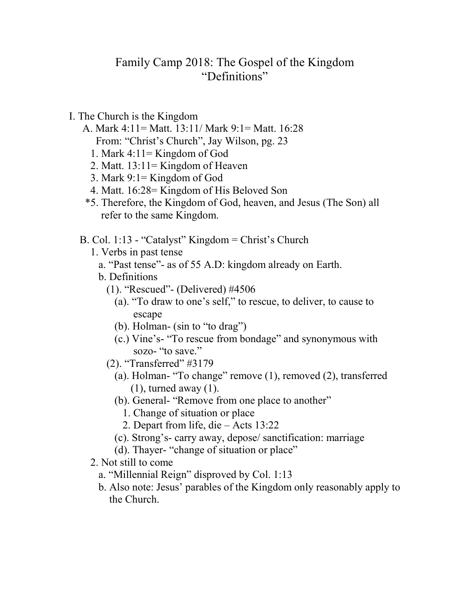## Family Camp 2018: The Gospel of the Kingdom "Definitions"

- I. The Church is the Kingdom
	- A. Mark 4:11= Matt. 13:11/ Mark 9:1= Matt. 16:28 From: "Christ's Church", Jay Wilson, pg. 23
		-
		- 1. Mark 4:11= Kingdom of God 2. Matt. 13:11= Kingdom of Heaven
		- 3. Mark 9:1= Kingdom of God
		- 4. Matt. 16:28= Kingdom of His Beloved Son
	- \*5. Therefore, the Kingdom of God, heaven, and Jesus (The Son) all refer to the same Kingdom.
	- B. Col. 1:13 "Catalyst" Kingdom = Christ's Church
		- 1. Verbs in past tense
			- a. "Past tense"- as of 55 A.D: kingdom already on Earth.
			- b. Definitions
				- (1). "Rescued"- (Delivered) #4506
					- (a). "To draw to one's self," to rescue, to deliver, to cause to escape
					- (b). Holman- (sin to "to drag")
					- (c.) Vine's- "To rescue from bondage" and synonymous with sozo- "to save."
				- (2). "Transferred" #3179
					- (a). Holman- "To change" remove (1), removed (2), transferred (1), turned away (1).
					- (b). General- "Remove from one place to another"
						- 1. Change of situation or place
						- 2. Depart from life, die Acts 13:22
					- (c). Strong's- carry away, depose/ sanctification: marriage
					- (d). Thayer- "change of situation or place"
		- 2. Not still to come
			- a. "Millennial Reign" disproved by Col. 1:13
			- b. Also note: Jesus' parables of the Kingdom only reasonably apply to the Church.